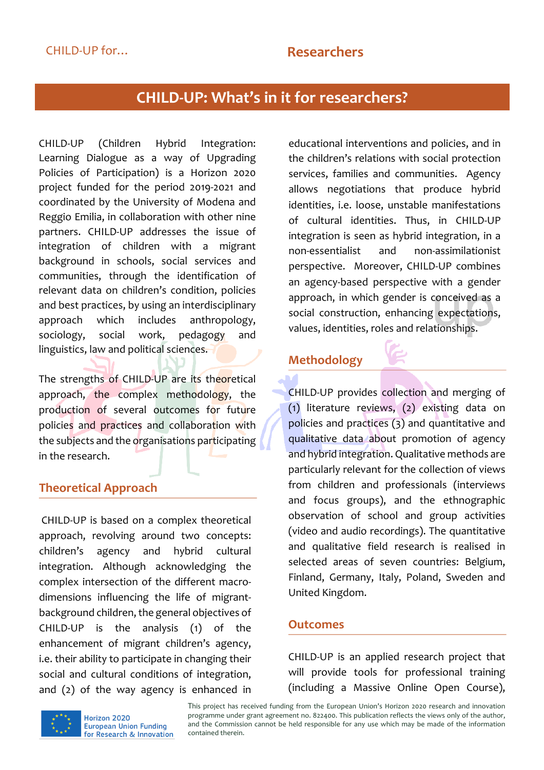# **CHILD-UP: What's in it for researchers?**

CHILD-UP (Children Hybrid Integration: Learning Dialogue as a way of Upgrading Policies of Participation) is a Horizon 2020 project funded for the period 2019-2021 and coordinated by the University of Modena and Reggio Emilia, in collaboration with other nine partners. CHILD-UP addresses the issue of integration of children with a migrant background in schools, social services and communities, through the identification of relevant data on children's condition, policies and best practices, by using an interdisciplinary approach which includes anthropology, sociology, social work, pedagogy and linguistics, law and political sciences.

The strengths of CHILD-UP are its theoretical approach, the complex methodology, the production of several outcomes for future policies and practices and collaboration with the subjects and the organisations participating in the research.

### **Theoretical Approach**

CHILD-UP is based on a complex theoretical approach, revolving around two concepts: children's agency and hybrid cultural integration. Although acknowledging the complex intersection of the different macrodimensions influencing the life of migrantbackground children, the general objectives of CHILD-UP is the analysis (1) of the enhancement of migrant children's agency, i.e. their ability to participate in changing their social and cultural conditions of integration, and (2) of the way agency is enhanced in

educational interventions and policies, and in the children's relations with social protection services, families and communities. Agency allows negotiations that produce hybrid identities, i.e. loose, unstable manifestations of cultural identities. Thus, in CHILD-UP integration is seen as hybrid integration, in a non-essentialist and non-assimilationist perspective. Moreover, CHILD-UP combines an agency-based perspective with a gender approach, in which gender is conceived as a social construction, enhancing expectations, values, identities, roles and relationships.

## **Methodology**



CHILD-UP provides collection and merging of (1) literature reviews, (2) existing data on policies and practices (3) and quantitative and qualitative data about promotion of agency and hybrid integration.Qualitative methods are particularly relevant for the collection of views from children and professionals (interviews and focus groups), and the ethnographic observation of school and group activities (video and audio recordings). The quantitative and qualitative field research is realised in selected areas of seven countries: Belgium, Finland, Germany, Italy, Poland, Sweden and United Kingdom.

#### **Outcomes**

CHILD-UP is an applied research project that will provide tools for professional training (including a Massive Online Open Course),



This project has received funding from the European Union's Horizon 2020 research and innovation programme under grant agreement no. 822400. This publication reflects the views only of the author, and the Commission cannot be held responsible for any use which may be made of the information contained therein.